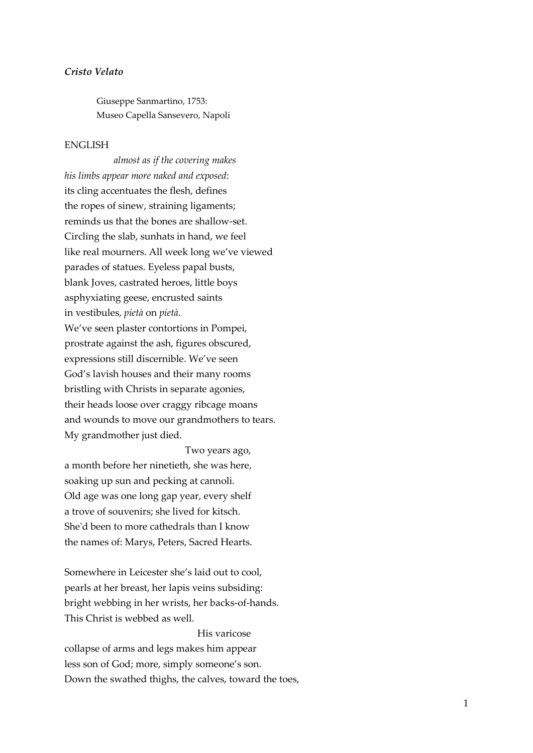## *Cristo Velato*

Giuseppe Sanmartino, 1753: Museo Capella Sansevero, Napoli

## ENGLISH

 *almost as if the covering makes his limbs appear more naked and exposed*: its cling accentuates the flesh, defines the ropes of sinew, straining ligaments; reminds us that the bones are shallow-set. Circling the slab, sunhats in hand, we feel like real mourners. All week long we've viewed parades of statues. Eyeless papal busts, blank Joves, castrated heroes, little boys asphyxiating geese, encrusted saints in vestibules, *pietà* on *pietà*. We've seen plaster contortions in Pompei, prostrate against the ash, figures obscured, expressions still discernible. We've seen God's lavish houses and their many rooms bristling with Christs in separate agonies, their heads loose over craggy ribcage moans and wounds to move our grandmothers to tears. My grandmother just died.

 Two years ago, a month before her ninetieth, she was here, soaking up sun and pecking at cannoli. Old age was one long gap year, every shelf a trove of souvenirs; she lived for kitsch. She'd been to more cathedrals than I know the names of: Marys, Peters, Sacred Hearts.

Somewhere in Leicester she's laid out to cool, pearls at her breast, her lapis veins subsiding: bright webbing in her wrists, her backs-of-hands. This Christ is webbed as well.

 His varicose collapse of arms and legs makes him appear less son of God; more, simply someone's son. Down the swathed thighs, the calves, toward the toes,